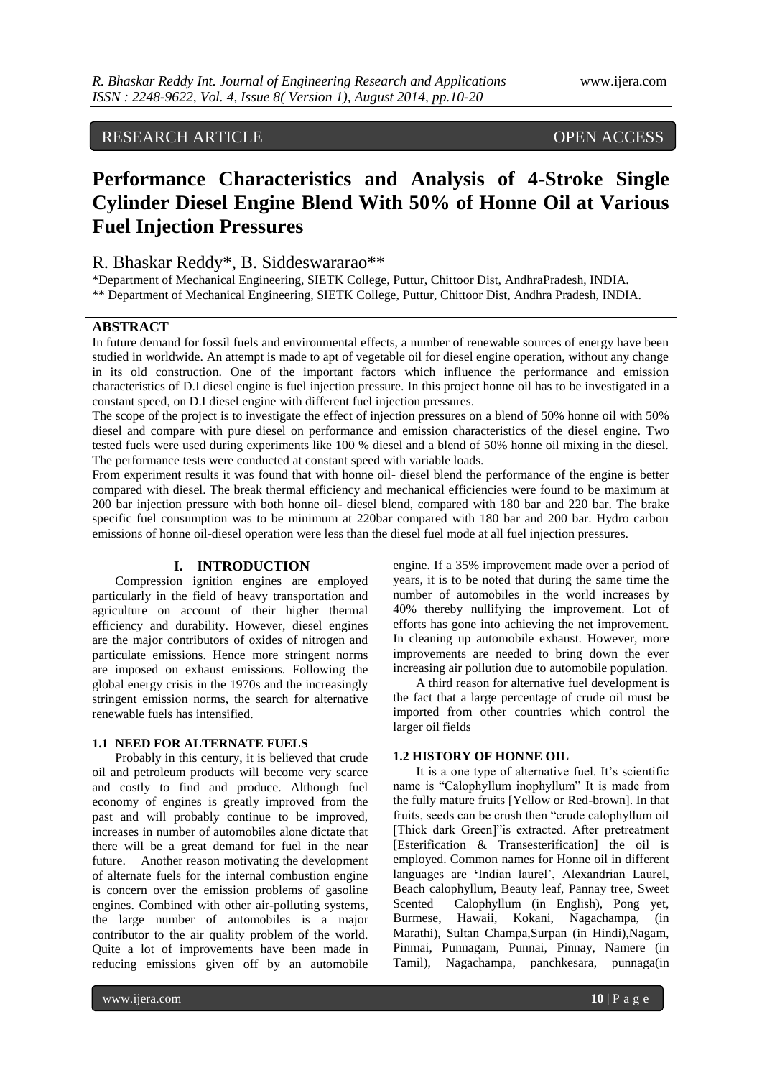# RESEARCH ARTICLE OPEN ACCESS

# **Performance Characteristics and Analysis of 4-Stroke Single Cylinder Diesel Engine Blend With 50% of Honne Oil at Various Fuel Injection Pressures**

# R. Bhaskar Reddy\*, B. Siddeswararao\*\*

\*Department of Mechanical Engineering, SIETK College, Puttur, Chittoor Dist, AndhraPradesh, INDIA. \*\* Department of Mechanical Engineering, SIETK College, Puttur, Chittoor Dist, Andhra Pradesh, INDIA.

### **ABSTRACT**

In future demand for fossil fuels and environmental effects, a number of renewable sources of energy have been studied in worldwide. An attempt is made to apt of vegetable oil for diesel engine operation, without any change in its old construction. One of the important factors which influence the performance and emission characteristics of D.I diesel engine is fuel injection pressure. In this project honne oil has to be investigated in a constant speed, on D.I diesel engine with different fuel injection pressures.

The scope of the project is to investigate the effect of injection pressures on a blend of 50% honne oil with 50% diesel and compare with pure diesel on performance and emission characteristics of the diesel engine. Two tested fuels were used during experiments like 100 % diesel and a blend of 50% honne oil mixing in the diesel. The performance tests were conducted at constant speed with variable loads.

From experiment results it was found that with honne oil- diesel blend the performance of the engine is better compared with diesel. The break thermal efficiency and mechanical efficiencies were found to be maximum at 200 bar injection pressure with both honne oil- diesel blend, compared with 180 bar and 220 bar. The brake specific fuel consumption was to be minimum at 220bar compared with 180 bar and 200 bar. Hydro carbon emissions of honne oil-diesel operation were less than the diesel fuel mode at all fuel injection pressures.

# **I. INTRODUCTION**

Compression ignition engines are employed particularly in the field of heavy transportation and agriculture on account of their higher thermal efficiency and durability. However, diesel engines are the major contributors of oxides of nitrogen and particulate emissions. Hence more stringent norms are imposed on exhaust emissions. Following the global energy crisis in the 1970s and the increasingly stringent emission norms, the search for alternative renewable fuels has intensified.

#### **1.1 NEED FOR ALTERNATE FUELS**

Probably in this century, it is believed that crude oil and petroleum products will become very scarce and costly to find and produce. Although fuel economy of engines is greatly improved from the past and will probably continue to be improved, increases in number of automobiles alone dictate that there will be a great demand for fuel in the near future. Another reason motivating the development of alternate fuels for the internal combustion engine is concern over the emission problems of gasoline engines. Combined with other air-polluting systems, the large number of automobiles is a major contributor to the air quality problem of the world. Quite a lot of improvements have been made in reducing emissions given off by an automobile

engine. If a 35% improvement made over a period of years, it is to be noted that during the same time the number of automobiles in the world increases by 40% thereby nullifying the improvement. Lot of efforts has gone into achieving the net improvement. In cleaning up automobile exhaust. However, more improvements are needed to bring down the ever increasing air pollution due to automobile population.

A third reason for alternative fuel development is the fact that a large percentage of crude oil must be imported from other countries which control the larger oil fields

#### **1.2 HISTORY OF HONNE OIL**

It is a one type of alternative fuel. It's scientific name is "Calophyllum inophyllum" It is made from the fully mature fruits [Yellow or Red-brown]. In that fruits, seeds can be crush then "crude calophyllum oil [Thick dark Green]"is extracted. After pretreatment [Esterification & Transesterification] the oil is employed. Common names for Honne oil in different languages are 'Indian laurel', Alexandrian Laurel, Beach calophyllum, Beauty leaf, Pannay tree, Sweet Scented Calophyllum (in English), Pong yet, Burmese, Hawaii, Kokani, Nagachampa, (in Marathi), Sultan Champa,Surpan (in Hindi),Nagam, Pinmai, Punnagam, Punnai, Pinnay, Namere (in Tamil), Nagachampa, panchkesara, punnaga(in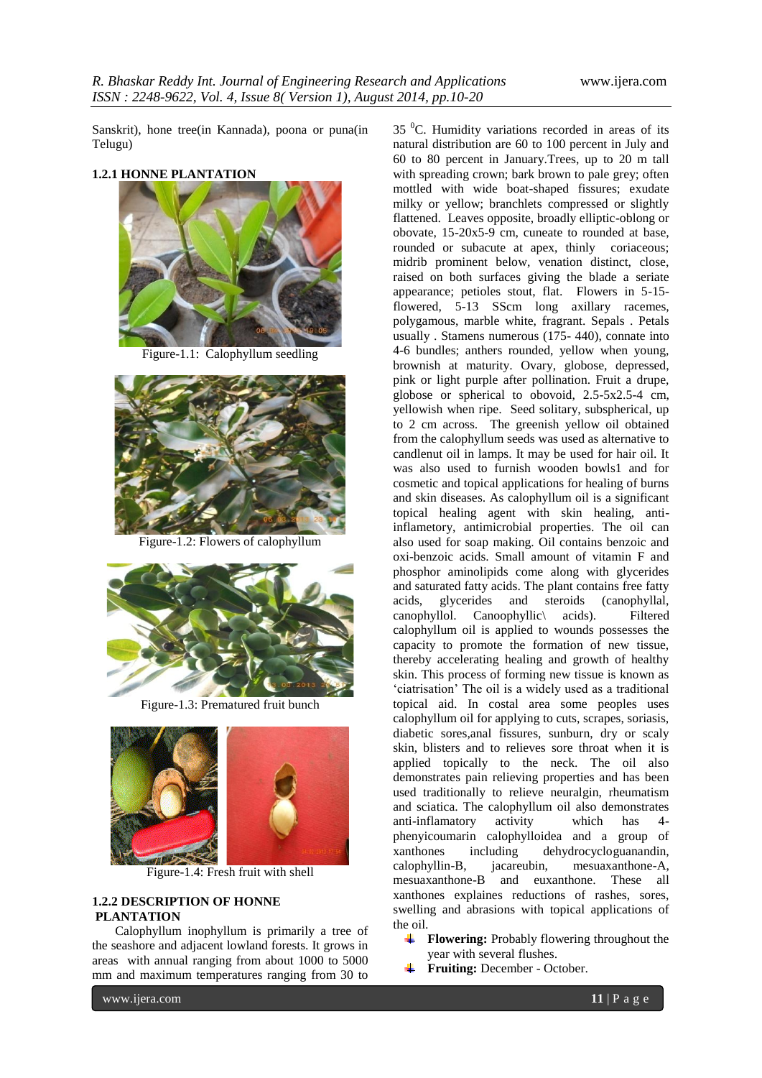Sanskrit), hone tree(in Kannada), poona or puna(in Telugu)

#### **1.2.1 HONNE PLANTATION**



Figure-1.1: Calophyllum seedling



Figure-1.2: Flowers of calophyllum



Figure-1.3: Prematured fruit bunch



Figure-1.4: Fresh fruit with shell

#### **1.2.2 DESCRIPTION OF HONNE PLANTATION**

Calophyllum inophyllum is primarily a tree of the seashore and adjacent lowland forests. It grows in areas with annual ranging from about 1000 to 5000 mm and maximum temperatures ranging from 30 to

 $35<sup>0</sup>C$ . Humidity variations recorded in areas of its natural distribution are 60 to 100 percent in July and 60 to 80 percent in January.Trees, up to 20 m tall with spreading crown; bark brown to pale grey; often mottled with wide boat-shaped fissures; exudate milky or yellow; branchlets compressed or slightly flattened. Leaves opposite, broadly elliptic-oblong or obovate, 15-20x5-9 cm, cuneate to rounded at base, rounded or subacute at apex, thinly coriaceous; midrib prominent below, venation distinct, close, raised on both surfaces giving the blade a seriate appearance; petioles stout, flat. Flowers in 5-15 flowered, 5-13 SScm long axillary racemes, polygamous, marble white, fragrant. Sepals . Petals usually . Stamens numerous (175- 440), connate into 4-6 bundles; anthers rounded, yellow when young, brownish at maturity. Ovary, globose, depressed, pink or light purple after pollination. Fruit a drupe, globose or spherical to obovoid, 2.5-5x2.5-4 cm, yellowish when ripe. Seed solitary, subspherical, up to 2 cm across. The greenish yellow oil obtained from the calophyllum seeds was used as alternative to candlenut oil in lamps. It may be used for hair oil. It was also used to furnish wooden bowls1 and for cosmetic and topical applications for healing of burns and skin diseases. As calophyllum oil is a significant topical healing agent with skin healing, antiinflametory, antimicrobial properties. The oil can also used for soap making. Oil contains benzoic and oxi-benzoic acids. Small amount of vitamin F and phosphor aminolipids come along with glycerides and saturated fatty acids. The plant contains free fatty acids. glycerides and steroids (canophyllal.) acids, glycerides and steroids (canophyllal, canophyllol. Canoophyllic\ acids). Filtered calophyllum oil is applied to wounds possesses the capacity to promote the formation of new tissue, thereby accelerating healing and growth of healthy skin. This process of forming new tissue is known as "ciatrisation" The oil is a widely used as a traditional topical aid. In costal area some peoples uses calophyllum oil for applying to cuts, scrapes, soriasis, diabetic sores,anal fissures, sunburn, dry or scaly skin, blisters and to relieves sore throat when it is applied topically to the neck. The oil also demonstrates pain relieving properties and has been used traditionally to relieve neuralgin, rheumatism and sciatica. The calophyllum oil also demonstrates anti-inflamatory activity which has 4 phenyicoumarin calophylloidea and a group of xanthones including dehydrocycloguanandin, calophyllin-B, jacareubin, mesuaxanthone-A, mesuaxanthone-B and euxanthone. These all xanthones explaines reductions of rashes, sores, swelling and abrasions with topical applications of the oil.

- **Flowering:** Probably flowering throughout the year with several flushes.
- **Fruiting:** December October.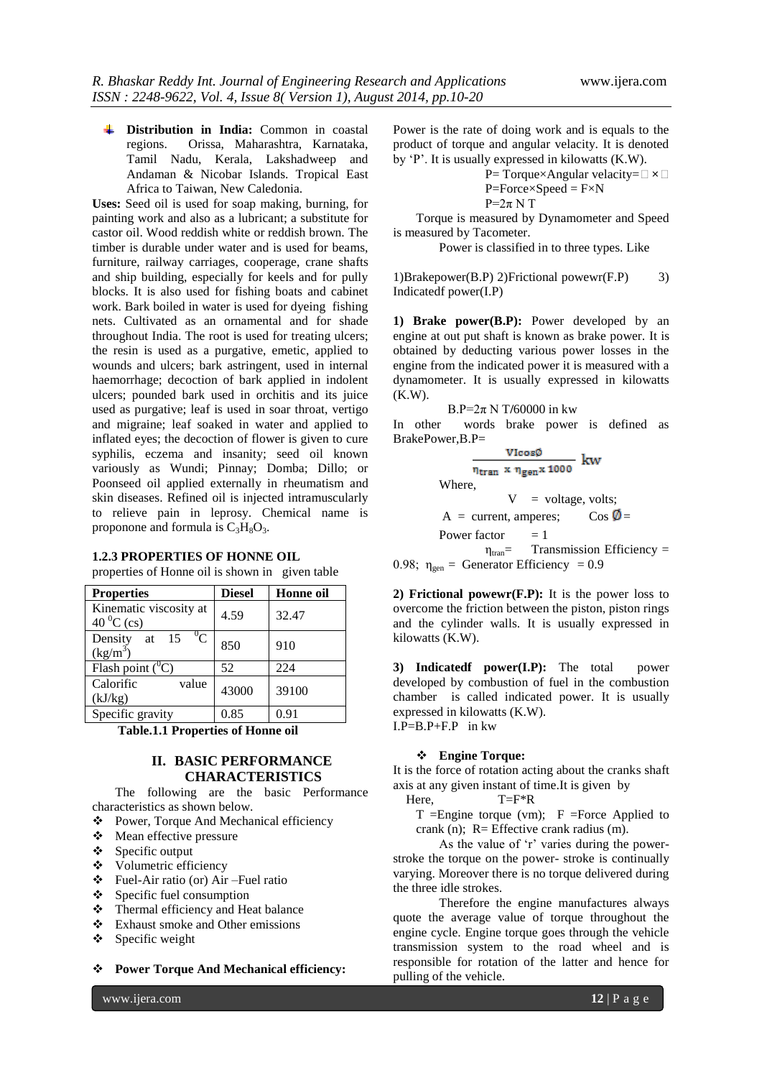**Distribution in India:** Common in coastal Orissa, Maharashtra, Karnataka, Tamil Nadu, Kerala, Lakshadweep and Andaman & Nicobar Islands. Tropical East Africa to Taiwan, New Caledonia.

**Uses:** Seed oil is used for soap making, burning, for painting work and also as a lubricant; a substitute for castor oil. Wood reddish white or reddish brown. The timber is durable under water and is used for beams, furniture, railway carriages, cooperage, crane shafts and ship building, especially for keels and for pully blocks. It is also used for fishing boats and cabinet work. Bark boiled in water is used for dyeing fishing nets. Cultivated as an ornamental and for shade throughout India. The root is used for treating ulcers; the resin is used as a purgative, emetic, applied to wounds and ulcers; bark astringent, used in internal haemorrhage; decoction of bark applied in indolent ulcers; pounded bark used in orchitis and its juice used as purgative; leaf is used in soar throat, vertigo and migraine; leaf soaked in water and applied to inflated eyes; the decoction of flower is given to cure syphilis, eczema and insanity; seed oil known variously as Wundi; Pinnay; Domba; Dillo; or Poonseed oil applied externally in rheumatism and skin diseases. Refined oil is injected intramuscularly to relieve pain in leprosy. Chemical name is proponone and formula is  $C_3H_8O_3$ .

| <b>1.2.3 PROPERTIES OF HONNE OIL</b> |  |  |  |
|--------------------------------------|--|--|--|
|--------------------------------------|--|--|--|

properties of Honne oil is shown in given table

| <b>Properties</b>                        | <b>Diesel</b> | Honne oil |
|------------------------------------------|---------------|-----------|
| Kinematic viscosity at<br>40 $^0$ C (cs) | 4.59          | 32.47     |
| $^0C$<br>Density at 15<br>$(kg/m^3)$     | 850           | 910       |
| Flash point $(^0C)$                      | 52            | 224       |
| Calorific<br>value<br>(kJ/kg)            | 43000         | 39100     |
| Specific gravity                         | 0.85          | 0.91      |

 **Table.1.1 Properties of Honne oil**

# **II. BASIC PERFORMANCE CHARACTERISTICS**

The following are the basic Performance characteristics as shown below.

- Power, Torque And Mechanical efficiency
- Mean effective pressure
- $\triangle$  Specific output
- Volumetric efficiency
- Fuel-Air ratio (or) Air –Fuel ratio
- $\triangle$  Specific fuel consumption
- Thermal efficiency and Heat balance
- Exhaust smoke and Other emissions
- $\bullet$  Specific weight

**Power Torque And Mechanical efficiency:**

Power is the rate of doing work and is equals to the product of torque and angular velacity. It is denoted by "P". It is usually expressed in kilowatts (K.W).

> P= Torque×Angular velacity= $□ \times □$  $P=Force \times Speed = F \times N$  $P=2\pi N T$

Torque is measured by Dynamometer and Speed is measured by Tacometer.

Power is classified in to three types. Like

1)Brakepower(B.P) 2)Frictional powewr(F.P) 3) Indicatedf power(I.P)

**1) Brake power(B.P):** Power developed by an engine at out put shaft is known as brake power. It is obtained by deducting various power losses in the engine from the indicated power it is measured with a dynamometer. It is usually expressed in kilowatts (K.W).

B.P=2π N T**/**60000 in kw

In other words brake power is defined as BrakePower,B.P=

> VIcosØ  $\frac{1}{n_{\text{tran}} \times n_{\text{gen}} \times 1000}$  kw  $V =$  voltage, volts;  $A = current$ , amperes; Cos  $\emptyset =$ Power factor  $= 1$  $\eta_{tran}$ = Transmission Efficiency =

0.98;  $\eta_{gen}$  = Generator Efficiency = 0.9

**2) Frictional powewr(F.P):** It is the power loss to overcome the friction between the piston, piston rings and the cylinder walls. It is usually expressed in kilowatts (K.W).

**3) Indicatedf power(I.P):** The total power developed by combustion of fuel in the combustion chamber is called indicated power. It is usually expressed in kilowatts (K.W).  $I.P=B.P+F.P$  in kw

# **Engine Torque:**

It is the force of rotation acting about the cranks shaft axis at any given instant of time.It is given by

- Here,  $T=F^*R$ 
	- $T =$ Engine torque (vm);  $F =$ Force Applied to crank (n); R= Effective crank radius (m).

As the value of 'r' varies during the powerstroke the torque on the power- stroke is continually varying. Moreover there is no torque delivered during the three idle strokes.

Therefore the engine manufactures always quote the average value of torque throughout the engine cycle. Engine torque goes through the vehicle transmission system to the road wheel and is responsible for rotation of the latter and hence for pulling of the vehicle.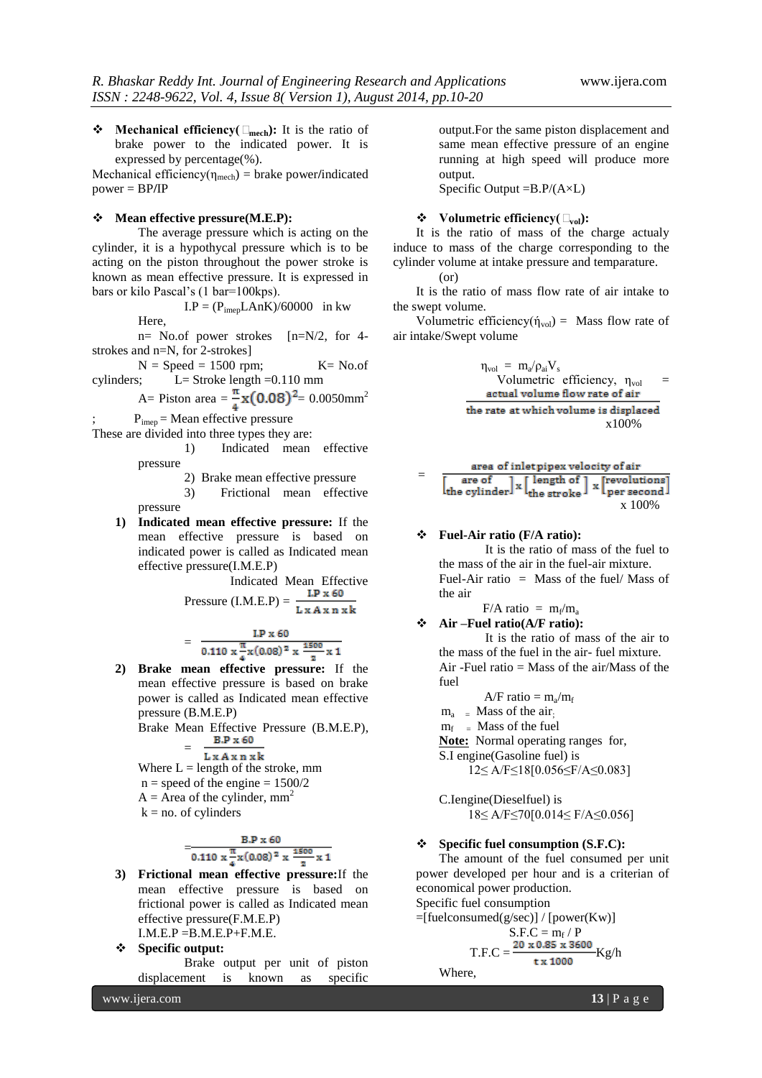**Mechanical efficiency(Τmech):** It is the ratio of brake power to the indicated power. It is expressed by percentage(%).

Mechanical efficiency( $\eta_{\text{mech}}$ ) = brake power/indicated power = BP**/**IP

#### **Mean effective pressure(M.E.P):**

The average pressure which is acting on the cylinder, it is a hypothycal pressure which is to be acting on the piston throughout the power stroke is known as mean effective pressure. It is expressed in bars or kilo Pascal"s (1 bar=100kps).

$$
I.P = (P_{\text{imep}} LAnK)/60000 \text{ in kw}
$$

Here,

n= No.of power strokes [n=N/2, for 4 strokes and n=N, for 2-strokes]

 $N = Speed = 1500$  rpm;  $K = No.of$ cylinders; L= Stroke length =0.110 mm

A= Piston area =  $\frac{\pi}{4}$ **x(0.08)**<sup>2</sup>= 0.0050mm<sup>2</sup>

 $P_{\text{imep}}$  = Mean effective pressure These are divided into three types they are:

1) Indicated mean effective

pressure

2) Brake mean effective pressure

3) Frictional mean effective pressure

**1) Indicated mean effective pressure:** If the mean effective pressure is based on indicated power is called as Indicated mean effective pressure(I.M.E.P)

Indicated Mean Effective Pressure  $(I.M.E.P) = \frac{LP \times 60}{IP}$ 

$$
L x A x n x k
$$

$$
= \frac{\text{LP x 60}}{0.110 \times \frac{\pi}{4} \times (0.08)^2 \times \frac{1500}{2} \times 1}
$$

**2) Brake mean effective pressure:** If the mean effective pressure is based on brake power is called as Indicated mean effective pressure (B.M.E.P)

Brake Mean Effective Pressure (B.M.E.P),<br> $B.P \times 60$ =

$$
L x A x n x k
$$

Where  $L =$  length of the stroke, mm

- $n = speed of the engine =  $1500/2$$
- $A = \text{Area of the cylinder, } mm^2$
- $k = no$ . of cylinders

$$
=\frac{B.P x 60}{0.110 x \frac{\pi}{4} x (0.08)^2 x \frac{1500}{2} x 1}
$$

- **3) Frictional mean effective pressure:**If the mean effective pressure is based on frictional power is called as Indicated mean effective pressure(F.M.E.P)  $I.M.E.P = B.M.E.P + F.M.E.$
- **Specific output:** Brake output per unit of piston displacement is known as specific

www.ijera.com **13** | P a g e

output.For the same piston displacement and same mean effective pressure of an engine running at high speed will produce more output.

Specific Output  $=B.P/(A\times L)$ 

#### **Volumetric efficiency(Τvol):**

It is the ratio of mass of the charge actualy induce to mass of the charge corresponding to the cylinder volume at intake pressure and temparature. (or)

It is the ratio of mass flow rate of air intake to the swept volume.

Volumetric efficiency( $\dot{\eta}_{vol}$ ) = Mass flow rate of air intake/Swept volume

> $\eta_{\rm vol} = m_{\rm a}/\rho_{\rm ai} V_{\rm s}$ Volumetric efficiency,  $\eta_{\text{vol}}$ <br>actual volume flow rate of air the rate at which volume is displaced x100%

$$
= \frac{\text{area of inlet pipe x velocity of air}}{\left[\frac{\text{are of}}{\text{the cylinder}}\right] \times \left[\frac{\text{length of}}{\text{the stroke}}\right] \times \left[\frac{\text{revolutions}}{\text{per second}}\right]}
$$
\n
$$
\times 100\%
$$

#### **Fuel-Air ratio (F/A ratio):**

It is the ratio of mass of the fuel to the mass of the air in the fuel-air mixture. Fuel-Air ratio  $=$  Mass of the fuel/ Mass of the air

 $F/A$  ratio =  $m_f/m_a$ 

 **Air –Fuel ratio(A/F ratio):**  It is the ratio of mass of the air to the mass of the fuel in the air- fuel mixture. Air -Fuel ratio = Mass of the air/Mass of the fuel

 $A/F$  ratio =  $m_a/m_f$  $m_a$  = Mass of the air.  $m_f$  = Mass of the fuel **Note:** Normal operating ranges for, S.I engine(Gasoline fuel) is 12≤ A/F≤18[0.056≤F/A≤0.083]

C.Iengine(Dieselfuel) is 18≤ A/F≤70[0.014≤ F/A≤0.056]

#### **Specific fuel consumption (S.F.C):**

The amount of the fuel consumed per unit power developed per hour and is a criterian of economical power production.

Specific fuel consumption

=[fuelconsumed(g/sec)] / [power(Kw)]  $S.F.C = m_f / P$ 

$$
T.F.C = \frac{20 \times 0.85 \times 3600}{\text{tx }1000} \text{Kg/h}
$$

Where,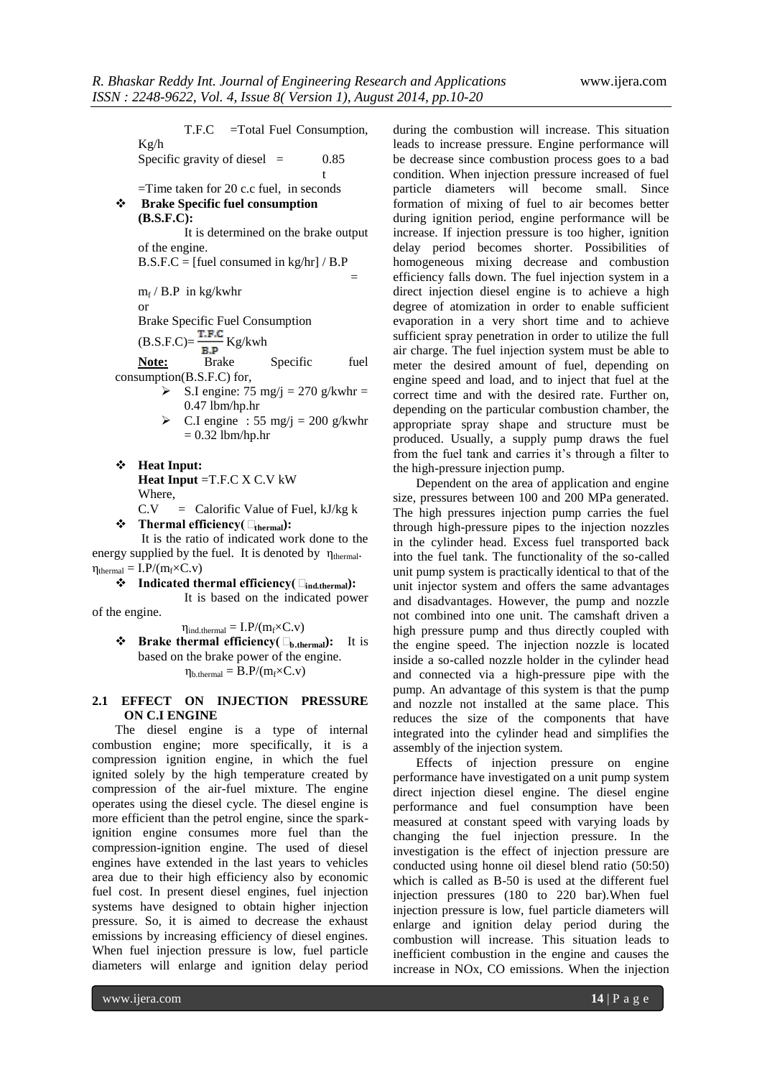T.F.C =Total Fuel Consumption, Kg/h Specific gravity of diesel  $=$  0.85 the contract of the contract of the contract of the contract of the contract of the contract of the contract o =Time taken for 20 c.c fuel, in seconds **Brake Specific fuel consumption (B.S.F.C):**  It is determined on the brake output of the engine.  $B.S.F.C = [fuel consumed in kg/hr] / B.P$  $=$   $\frac{1}{2}$   $\frac{1}{2}$   $\frac{1}{2}$   $\frac{1}{2}$   $\frac{1}{2}$   $\frac{1}{2}$   $\frac{1}{2}$   $\frac{1}{2}$   $\frac{1}{2}$   $\frac{1}{2}$   $\frac{1}{2}$   $\frac{1}{2}$   $\frac{1}{2}$   $\frac{1}{2}$   $\frac{1}{2}$  $m_f$  / B.P in kg/kwhr or Brake Specific Fuel Consumption  $(B.S.F.C)=\frac{T.F.C}{B.P}Kg/kwh$ **Note:** Brake Specific fuel consumption(B.S.F.C) for,  $\triangleright$  S.I engine: 75 mg/j = 270 g/kwhr = 0.47 lbm/hp.hr

- $\triangleright$  C.I engine : 55 mg/j = 200 g/kwhr  $= 0.32$  lbm/hp.hr
- **Heat Input: Heat Input** =T.F.C X C.V kW Where,

 $C.V = Calorific Value of Fuel, kJ/kg k$ 

**Thermal efficiency(Τthermal):**

It is the ratio of indicated work done to the energy supplied by the fuel. It is denoted by  $\eta_{\text{thermal}}$ .  $\eta_{thermal} = I.P/(m_f \times C.v)$ 

**Indicated thermal efficiency(Τind.thermal):** 

It is based on the indicated power

of the engine.

 $\eta_{ind.thermal} = I.P/(m_f \times C.v)$ 

 **Brake thermal efficiency(Τb.thermal):** It is based on the brake power of the engine.  $\eta_{b. thermal} = B.P/(m_f \times C.v)$ 

### **2.1 EFFECT ON INJECTION PRESSURE ON C.I ENGINE**

The diesel engine is a type of internal combustion engine; more specifically, it is a compression ignition engine, in which the fuel ignited solely by the high temperature created by compression of the air-fuel mixture. The engine operates using the diesel cycle. The diesel engine is more efficient than the petrol engine, since the sparkignition engine consumes more fuel than the compression-ignition engine. The used of diesel engines have extended in the last years to vehicles area due to their high efficiency also by economic fuel cost. In present diesel engines, fuel injection systems have designed to obtain higher injection pressure. So, it is aimed to decrease the exhaust emissions by increasing efficiency of diesel engines. When fuel injection pressure is low, fuel particle diameters will enlarge and ignition delay period

during the combustion will increase. This situation leads to increase pressure. Engine performance will be decrease since combustion process goes to a bad condition. When injection pressure increased of fuel particle diameters will become small. Since formation of mixing of fuel to air becomes better during ignition period, engine performance will be increase. If injection pressure is too higher, ignition delay period becomes shorter. Possibilities of homogeneous mixing decrease and combustion efficiency falls down. The fuel injection system in a direct injection diesel engine is to achieve a high degree of atomization in order to enable sufficient evaporation in a very short time and to achieve sufficient spray penetration in order to utilize the full air charge. The fuel injection system must be able to meter the desired amount of fuel, depending on engine speed and load, and to inject that fuel at the correct time and with the desired rate. Further on, depending on the particular combustion chamber, the appropriate spray shape and structure must be produced. Usually, a supply pump draws the fuel from the fuel tank and carries it's through a filter to the high-pressure injection pump.

Dependent on the area of application and engine size, pressures between 100 and 200 MPa generated. The high pressures injection pump carries the fuel through high-pressure pipes to the injection nozzles in the cylinder head. Excess fuel transported back into the fuel tank. The functionality of the so-called unit pump system is practically identical to that of the unit injector system and offers the same advantages and disadvantages. However, the pump and nozzle not combined into one unit. The camshaft driven a high pressure pump and thus directly coupled with the engine speed. The injection nozzle is located inside a so-called nozzle holder in the cylinder head and connected via a high-pressure pipe with the pump. An advantage of this system is that the pump and nozzle not installed at the same place. This reduces the size of the components that have integrated into the cylinder head and simplifies the assembly of the injection system.

Effects of injection pressure on engine performance have investigated on a unit pump system direct injection diesel engine. The diesel engine performance and fuel consumption have been measured at constant speed with varying loads by changing the fuel injection pressure. In the investigation is the effect of injection pressure are conducted using honne oil diesel blend ratio (50:50) which is called as B-50 is used at the different fuel injection pressures (180 to 220 bar).When fuel injection pressure is low, fuel particle diameters will enlarge and ignition delay period during the combustion will increase. This situation leads to inefficient combustion in the engine and causes the increase in NOx, CO emissions. When the injection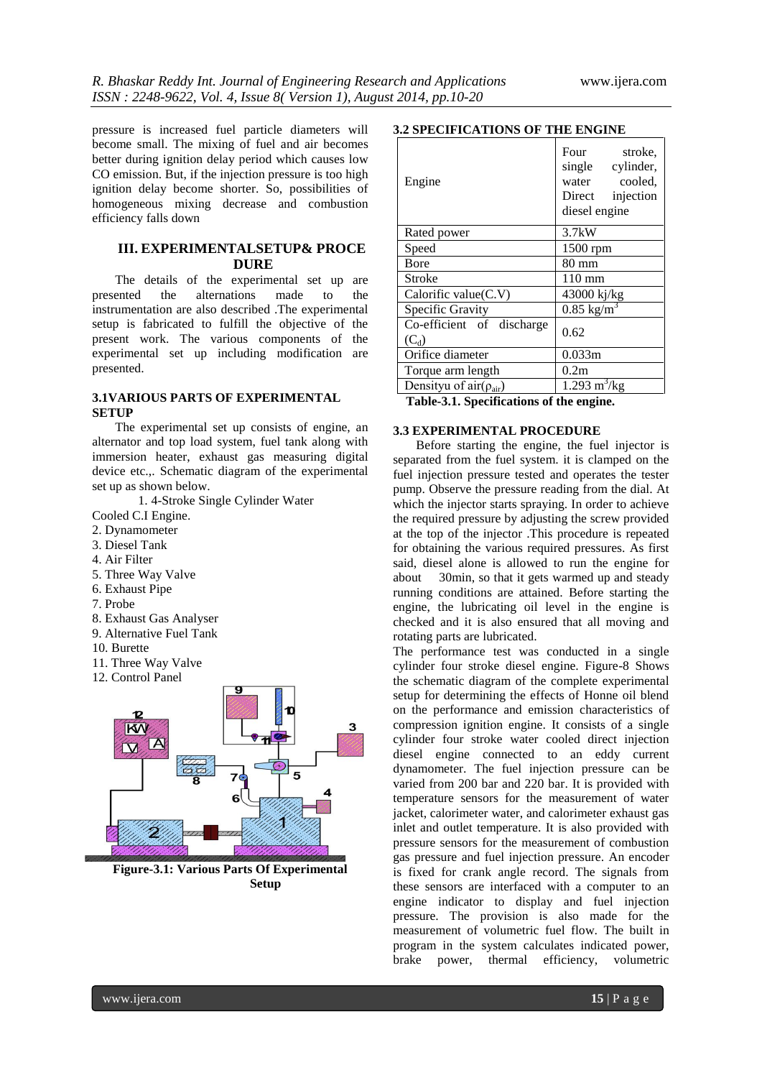pressure is increased fuel particle diameters will become small. The mixing of fuel and air becomes better during ignition delay period which causes low CO emission. But, if the injection pressure is too high ignition delay become shorter. So, possibilities of homogeneous mixing decrease and combustion efficiency falls down

### **III. EXPERIMENTALSETUP& PROCE DURE**

The details of the experimental set up are presented the alternations made to the instrumentation are also described .The experimental setup is fabricated to fulfill the objective of the present work. The various components of the experimental set up including modification are presented.

#### **3.1VARIOUS PARTS OF EXPERIMENTAL SETUP**

The experimental set up consists of engine, an alternator and top load system, fuel tank along with immersion heater, exhaust gas measuring digital device etc.,. Schematic diagram of the experimental set up as shown below.

1. 4-Stroke Single Cylinder Water

- Cooled C.I Engine.
- 2. Dynamometer
- 3. Diesel Tank
- 4. Air Filter
- 5. Three Way Valve
- 6. Exhaust Pipe
- 7. Probe
- 8. Exhaust Gas Analyser
- 9. Alternative Fuel Tank
- 10. Burette
- 11. Three Way Valve
- 12. Control Panel



**Figure-3.1: Various Parts Of Experimental Setup**

#### **3.2 SPECIFICATIONS OF THE ENGINE**

| Engine                                      | Four<br>stroke.<br>single cylinder,<br>cooled.<br>water<br>Direct<br>injection<br>diesel engine |  |
|---------------------------------------------|-------------------------------------------------------------------------------------------------|--|
| Rated power                                 | 3.7kW                                                                                           |  |
| Speed                                       | $1500$ rpm                                                                                      |  |
| <b>B</b> ore                                | $80 \text{ mm}$                                                                                 |  |
| Stroke                                      | $110 \text{ mm}$                                                                                |  |
| Calorific value $(C.V)$                     | 43000 kj/kg                                                                                     |  |
| Specific Gravity                            | $0.85$ kg/m                                                                                     |  |
| Co-efficient of discharge<br>$(C_d)$        | 0.62                                                                                            |  |
| Orifice diameter                            | 0.033m                                                                                          |  |
| Torque arm length                           | 0.2m                                                                                            |  |
| Densityu of $\text{air}(\rho_{\text{air}})$ | $1.293 \text{ m}^3/\text{kg}$                                                                   |  |

 **Table-3.1. Specifications of the engine.**

### **3.3 EXPERIMENTAL PROCEDURE**

Before starting the engine, the fuel injector is separated from the fuel system. it is clamped on the fuel injection pressure tested and operates the tester pump. Observe the pressure reading from the dial. At which the injector starts spraying. In order to achieve the required pressure by adjusting the screw provided at the top of the injector .This procedure is repeated for obtaining the various required pressures. As first said, diesel alone is allowed to run the engine for about 30min, so that it gets warmed up and steady running conditions are attained. Before starting the engine, the lubricating oil level in the engine is checked and it is also ensured that all moving and rotating parts are lubricated.

The performance test was conducted in a single cylinder four stroke diesel engine. Figure-8 Shows the schematic diagram of the complete experimental setup for determining the effects of Honne oil blend on the performance and emission characteristics of compression ignition engine. It consists of a single cylinder four stroke water cooled direct injection diesel engine connected to an eddy current dynamometer. The fuel injection pressure can be varied from 200 bar and 220 bar. It is provided with temperature sensors for the measurement of water jacket, calorimeter water, and calorimeter exhaust gas inlet and outlet temperature. It is also provided with pressure sensors for the measurement of combustion gas pressure and fuel injection pressure. An encoder is fixed for crank angle record. The signals from these sensors are interfaced with a computer to an engine indicator to display and fuel injection pressure. The provision is also made for the measurement of volumetric fuel flow. The built in program in the system calculates indicated power, brake power, thermal efficiency, volumetric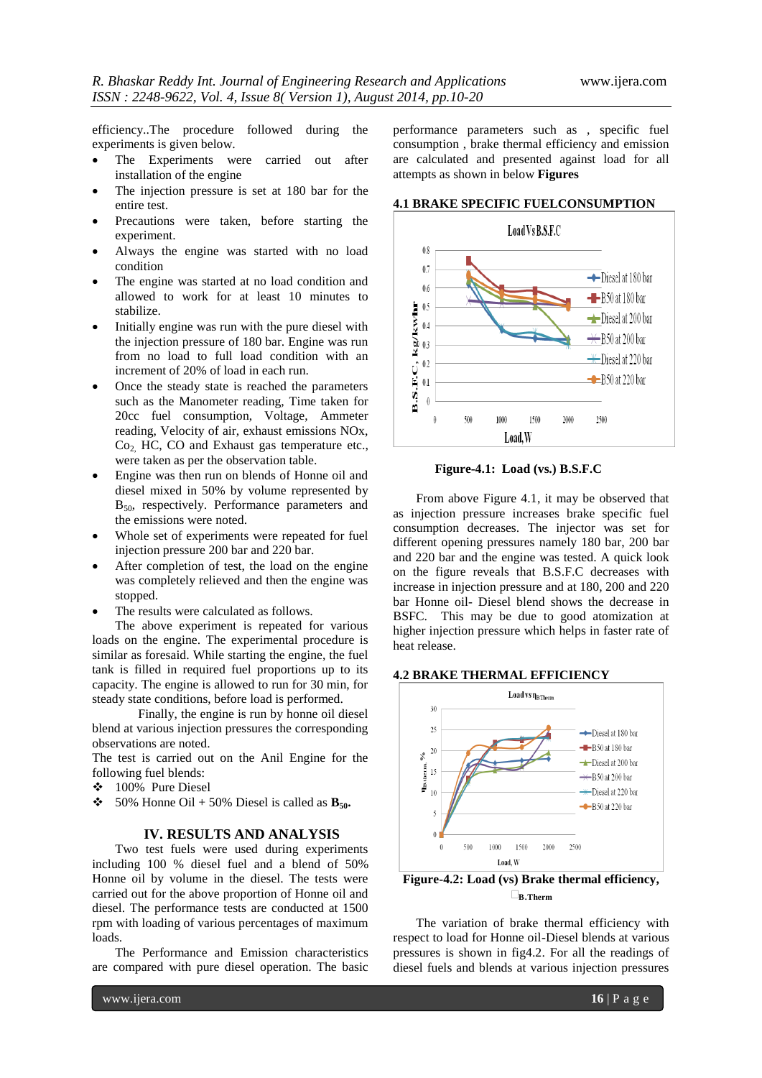efficiency..The procedure followed during the experiments is given below.

- The Experiments were carried out after installation of the engine
- The injection pressure is set at 180 bar for the entire test.
- Precautions were taken, before starting the experiment.
- Always the engine was started with no load condition
- The engine was started at no load condition and allowed to work for at least 10 minutes to stabilize.
- Initially engine was run with the pure diesel with the injection pressure of 180 bar. Engine was run from no load to full load condition with an increment of 20% of load in each run.
- Once the steady state is reached the parameters such as the Manometer reading, Time taken for 20cc fuel consumption, Voltage, Ammeter reading, Velocity of air, exhaust emissions NOx,  $Co<sub>2</sub>$  HC, CO and Exhaust gas temperature etc., were taken as per the observation table.
- Engine was then run on blends of Honne oil and diesel mixed in 50% by volume represented by B50, respectively. Performance parameters and the emissions were noted.
- Whole set of experiments were repeated for fuel injection pressure 200 bar and 220 bar.
- After completion of test, the load on the engine was completely relieved and then the engine was stopped.
- The results were calculated as follows.

The above experiment is repeated for various loads on the engine. The experimental procedure is similar as foresaid. While starting the engine, the fuel tank is filled in required fuel proportions up to its capacity. The engine is allowed to run for 30 min, for steady state conditions, before load is performed.

Finally, the engine is run by honne oil diesel blend at various injection pressures the corresponding observations are noted.

The test is carried out on the Anil Engine for the following fuel blends:

- 100% Pure Diesel
- $\div$  50% Honne Oil + 50% Diesel is called as **B**<sub>50</sub>.

# **IV. RESULTS AND ANALYSIS**

Two test fuels were used during experiments including 100 % diesel fuel and a blend of 50% Honne oil by volume in the diesel. The tests were carried out for the above proportion of Honne oil and diesel. The performance tests are conducted at 1500 rpm with loading of various percentages of maximum loads.

The Performance and Emission characteristics are compared with pure diesel operation. The basic

performance parameters such as , specific fuel consumption , brake thermal efficiency and emission are calculated and presented against load for all attempts as shown in below **Figures**

#### **4.1 BRAKE SPECIFIC FUELCONSUMPTION**



 **Figure-4.1: Load (vs.) B.S.F.C**

From above Figure 4.1, it may be observed that as injection pressure increases brake specific fuel consumption decreases. The injector was set for different opening pressures namely 180 bar, 200 bar and 220 bar and the engine was tested. A quick look on the figure reveals that B.S.F.C decreases with increase in injection pressure and at 180, 200 and 220 bar Honne oil- Diesel blend shows the decrease in BSFC. This may be due to good atomization at higher injection pressure which helps in faster rate of heat release.

#### **4.2 BRAKE THERMAL EFFICIENCY**



**Figure-4.2: Load (vs) Brake thermal efficiency, ΤB.Therm**

The variation of brake thermal efficiency with respect to load for Honne oil-Diesel blends at various pressures is shown in fig4.2. For all the readings of diesel fuels and blends at various injection pressures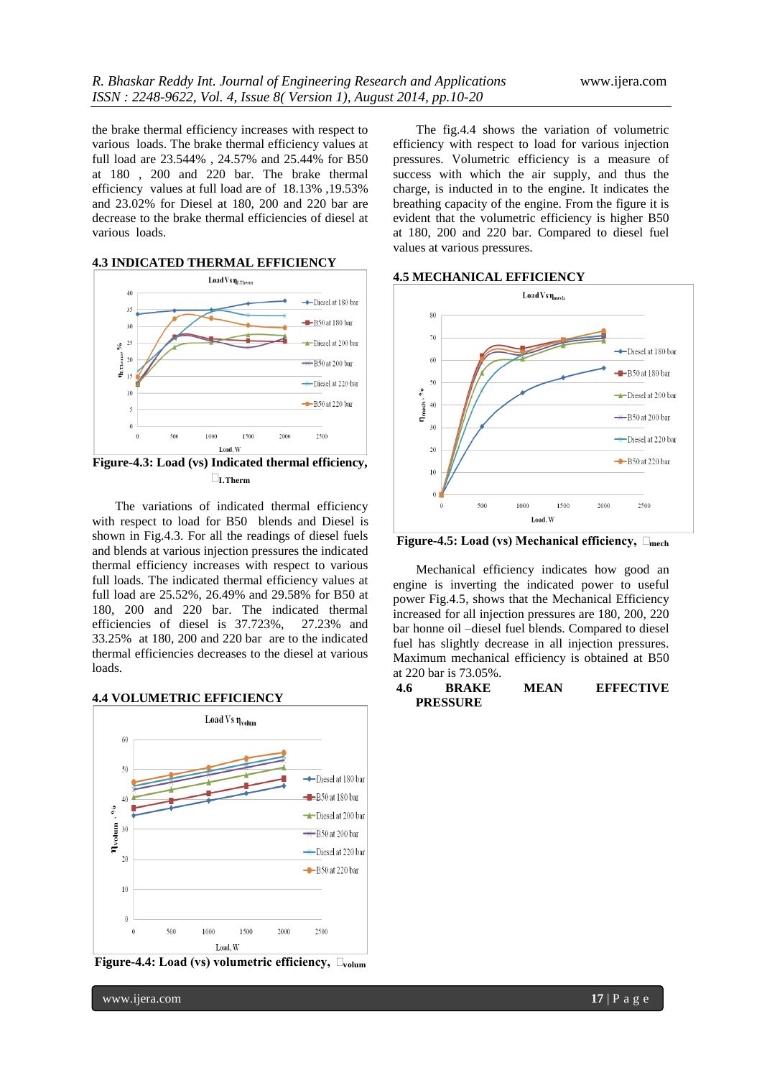the brake thermal efficiency increases with respect to various loads. The brake thermal efficiency values at full load are 23.544% , 24.57% and 25.44% for B50 at 180 , 200 and 220 bar. The brake thermal efficiency values at full load are of 18.13% ,19.53% and 23.02% for Diesel at 180, 200 and 220 bar are decrease to the brake thermal efficiencies of diesel at various loads.

## **4.3 INDICATED THERMAL EFFICIENCY**



**Figure-4.3: Load (vs) Indicated thermal efficiency, ΤI.Therm**

The variations of indicated thermal efficiency with respect to load for B50 blends and Diesel is shown in Fig.4.3. For all the readings of diesel fuels and blends at various injection pressures the indicated thermal efficiency increases with respect to various full loads. The indicated thermal efficiency values at full load are 25.52%, 26.49% and 29.58% for B50 at 180, 200 and 220 bar. The indicated thermal efficiencies of diesel is 37.723%, 27.23% and 33.25% at 180, 200 and 220 bar are to the indicated thermal efficiencies decreases to the diesel at various loads.

#### **4.4 VOLUMETRIC EFFICIENCY**



**Figure-4.4: Load (vs) volumetric efficiency, Τvolum**

The fig.4.4 shows the variation of volumetric efficiency with respect to load for various injection pressures. Volumetric efficiency is a measure of success with which the air supply, and thus the charge, is inducted in to the engine. It indicates the breathing capacity of the engine. From the figure it is evident that the volumetric efficiency is higher B50 at 180, 200 and 220 bar. Compared to diesel fuel values at various pressures.

#### **4.5 MECHANICAL EFFICIENCY**



**Figure-4.5: Load (vs) Mechanical efficiency, Τmech**

Mechanical efficiency indicates how good an engine is inverting the indicated power to useful power Fig.4.5, shows that the Mechanical Efficiency increased for all injection pressures are 180, 200, 220 bar honne oil –diesel fuel blends. Compared to diesel fuel has slightly decrease in all injection pressures. Maximum mechanical efficiency is obtained at B50 at 220 bar is 73.05%.

#### **4.6 BRAKE MEAN EFFECTIVE PRESSURE**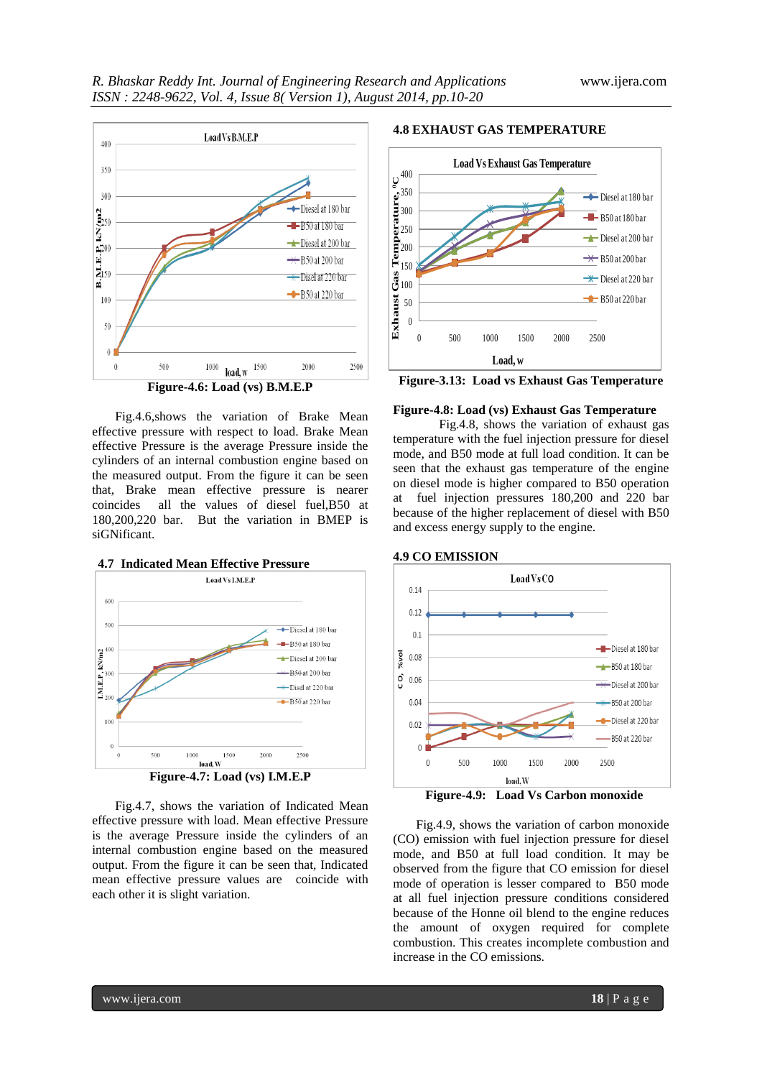

Fig.4.6,shows the variation of Brake Mean effective pressure with respect to load. Brake Mean effective Pressure is the average Pressure inside the cylinders of an internal combustion engine based on the measured output. From the figure it can be seen that, Brake mean effective pressure is nearer coincides all the values of diesel fuel,B50 at 180,200,220 bar. But the variation in BMEP is siGNificant.



Fig.4.7, shows the variation of Indicated Mean effective pressure with load. Mean effective Pressure is the average Pressure inside the cylinders of an internal combustion engine based on the measured output. From the figure it can be seen that, Indicated mean effective pressure values are coincide with each other it is slight variation.

#### **4.8 EXHAUST GAS TEMPERATURE**



**Figure-3.13: Load vs Exhaust Gas Temperature**

#### **Figure-4.8: Load (vs) Exhaust Gas Temperature**

Fig.4.8, shows the variation of exhaust gas temperature with the fuel injection pressure for diesel mode, and B50 mode at full load condition. It can be seen that the exhaust gas temperature of the engine on diesel mode is higher compared to B50 operation at fuel injection pressures 180,200 and 220 bar because of the higher replacement of diesel with B50 and excess energy supply to the engine.



Fig.4.9, shows the variation of carbon monoxide (CO) emission with fuel injection pressure for diesel mode, and B50 at full load condition. It may be observed from the figure that CO emission for diesel mode of operation is lesser compared to B50 mode at all fuel injection pressure conditions considered because of the Honne oil blend to the engine reduces the amount of oxygen required for complete combustion. This creates incomplete combustion and increase in the CO emissions.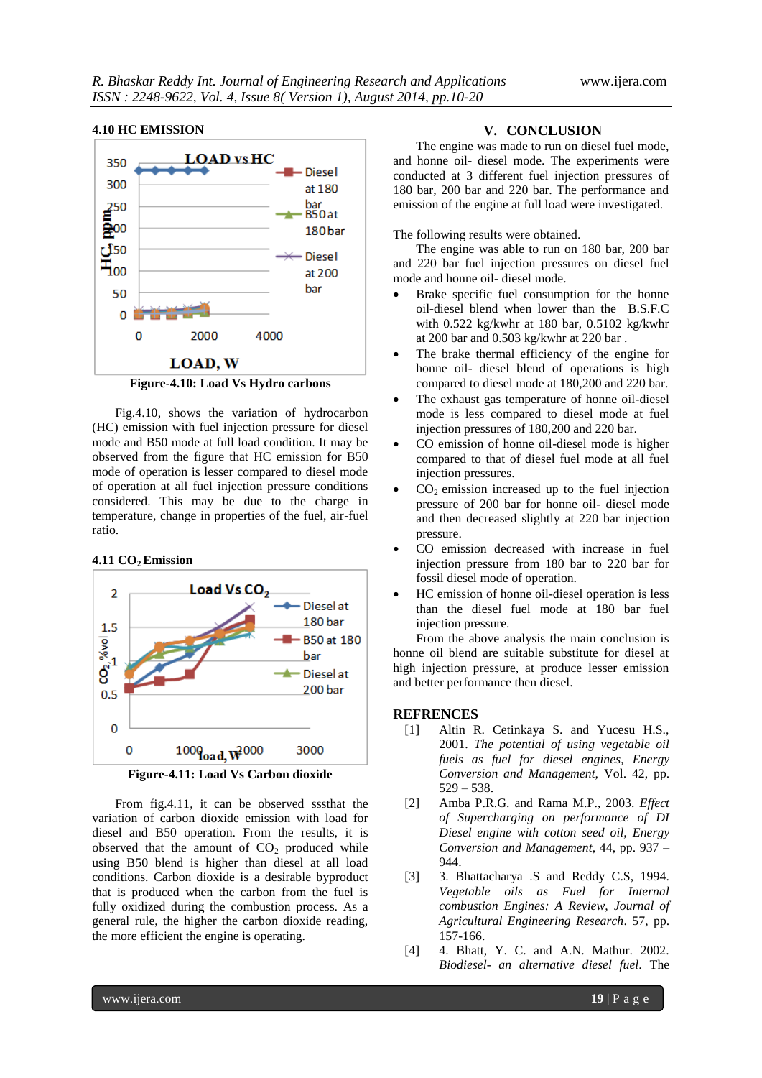#### **4.10 HC EMISSION**



**Figure-4.10: Load Vs Hydro carbons**

Fig.4.10, shows the variation of hydrocarbon (HC) emission with fuel injection pressure for diesel mode and B50 mode at full load condition. It may be observed from the figure that HC emission for B50 mode of operation is lesser compared to diesel mode of operation at all fuel injection pressure conditions considered. This may be due to the charge in temperature, change in properties of the fuel, air-fuel ratio.

#### **4.11 CO2 Emission**



**Figure-4.11: Load Vs Carbon dioxide**

From fig.4.11, it can be observed sssthat the variation of carbon dioxide emission with load for diesel and B50 operation. From the results, it is observed that the amount of  $CO<sub>2</sub>$  produced while using B50 blend is higher than diesel at all load conditions. Carbon dioxide is a desirable byproduct that is produced when the carbon from the fuel is fully oxidized during the combustion process. As a general rule, the higher the carbon dioxide reading, the more efficient the engine is operating.

#### **V. CONCLUSION**

The engine was made to run on diesel fuel mode, and honne oil- diesel mode. The experiments were conducted at 3 different fuel injection pressures of 180 bar, 200 bar and 220 bar. The performance and emission of the engine at full load were investigated.

#### The following results were obtained.

The engine was able to run on 180 bar, 200 bar and 220 bar fuel injection pressures on diesel fuel mode and honne oil- diesel mode.

- Brake specific fuel consumption for the honne oil-diesel blend when lower than the B.S.F.C with 0.522 kg/kwhr at 180 bar, 0.5102 kg/kwhr at 200 bar and 0.503 kg/kwhr at 220 bar .
- The brake thermal efficiency of the engine for honne oil- diesel blend of operations is high compared to diesel mode at 180,200 and 220 bar.
- The exhaust gas temperature of honne oil-diesel mode is less compared to diesel mode at fuel injection pressures of 180,200 and 220 bar.
- CO emission of honne oil-diesel mode is higher compared to that of diesel fuel mode at all fuel injection pressures.
- $CO<sub>2</sub>$  emission increased up to the fuel injection pressure of 200 bar for honne oil- diesel mode and then decreased slightly at 220 bar injection pressure.
- CO emission decreased with increase in fuel injection pressure from 180 bar to 220 bar for fossil diesel mode of operation.
- HC emission of honne oil-diesel operation is less than the diesel fuel mode at 180 bar fuel injection pressure.

From the above analysis the main conclusion is honne oil blend are suitable substitute for diesel at high injection pressure, at produce lesser emission and better performance then diesel.

#### **REFRENCES**

- [1] Altin R. Cetinkaya S. and Yucesu H.S., 2001. *The potential of using vegetable oil fuels as fuel for diesel engines*, *Energy Conversion and Management,* Vol. 42, pp. 529 – 538.
- [2] Amba P.R.G. and Rama M.P., 2003. *Effect of Supercharging on performance of DI Diesel engine with cotton seed oil, Energy Conversion and Management,* 44, pp. 937 – 944.
- [3] 3. Bhattacharya .S and Reddy C.S, 1994. *Vegetable oils as Fuel for Internal combustion Engines: A Review, Journal of Agricultural Engineering Research*. 57, pp. 157-166.
- [4] 4. Bhatt, Y. C. and A.N. Mathur. 2002. *Biodiesel- an alternative diesel fuel*. The